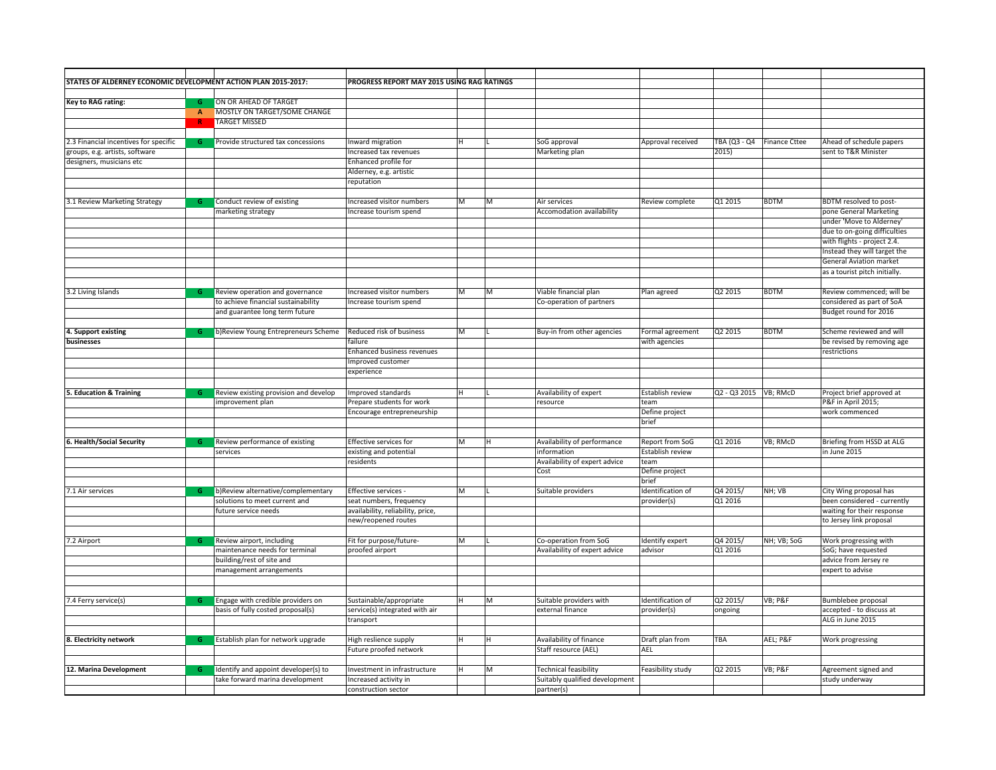| STATES OF ALDERNEY ECONOMIC DEVELOPMENT ACTION PLAN 2015-2017: |              |                                                                        | PROGRESS REPORT MAY 2015 USING RAG RATINGS                |   |   |                                             |                                  |            |                            |                                              |
|----------------------------------------------------------------|--------------|------------------------------------------------------------------------|-----------------------------------------------------------|---|---|---------------------------------------------|----------------------------------|------------|----------------------------|----------------------------------------------|
|                                                                |              |                                                                        |                                                           |   |   |                                             |                                  |            |                            |                                              |
| Key to RAG rating:                                             | G            | ON OR AHEAD OF TARGET                                                  |                                                           |   |   |                                             |                                  |            |                            |                                              |
|                                                                | $\mathbf{A}$ | MOSTLY ON TARGET/SOME CHANGE                                           |                                                           |   |   |                                             |                                  |            |                            |                                              |
|                                                                | R            | <b>TARGET MISSED</b>                                                   |                                                           |   |   |                                             |                                  |            |                            |                                              |
|                                                                |              |                                                                        |                                                           |   |   |                                             |                                  |            |                            |                                              |
| 2.3 Financial incentives for specific                          | G            | Provide structured tax concessions                                     | nward migration                                           |   |   | SoG approval                                | Approval received                |            | TBA (Q3 - Q4 Finance Cttee | Ahead of schedule papers                     |
| groups, e.g. artists, software                                 |              |                                                                        | Increased tax revenues                                    |   |   | Marketing plan                              |                                  | 2015)      |                            | sent to T&R Minister                         |
| designers, musicians etc                                       |              |                                                                        | Enhanced profile for                                      |   |   |                                             |                                  |            |                            |                                              |
|                                                                |              |                                                                        | Alderney, e.g. artistic                                   |   |   |                                             |                                  |            |                            |                                              |
|                                                                |              |                                                                        | reputation                                                |   |   |                                             |                                  |            |                            |                                              |
|                                                                |              |                                                                        |                                                           |   |   |                                             |                                  |            |                            |                                              |
| 3.1 Review Marketing Strategy                                  | G            | Conduct review of existing                                             | Increased visitor numbers                                 | М | м | Air services                                | Review complete                  | Q1 2015    | <b>BDTM</b>                | BDTM resolved to post-                       |
|                                                                |              | marketing strategy                                                     | Increase tourism spend                                    |   |   | Accomodation availability                   |                                  |            |                            | pone General Marketing                       |
|                                                                |              |                                                                        |                                                           |   |   |                                             |                                  |            |                            | under 'Move to Alderney'                     |
|                                                                |              |                                                                        |                                                           |   |   |                                             |                                  |            |                            | due to on-going difficulties                 |
|                                                                |              |                                                                        |                                                           |   |   |                                             |                                  |            |                            | with flights - project 2.4.                  |
|                                                                |              |                                                                        |                                                           |   |   |                                             |                                  |            |                            | Instead they will target the                 |
|                                                                |              |                                                                        |                                                           |   |   |                                             |                                  |            |                            | <b>General Aviation market</b>               |
|                                                                |              |                                                                        |                                                           |   |   |                                             |                                  |            |                            | as a tourist pitch initially.                |
|                                                                |              |                                                                        |                                                           |   |   |                                             |                                  |            |                            |                                              |
| 3.2 Living Islands                                             | G            | Review operation and governance                                        | Increased visitor numbers                                 | M | M | Viable financial plan                       | Plan agreed                      | Q2 2015    | <b>BDTM</b>                | Review commenced; will be                    |
|                                                                |              | to achieve financial sustainability                                    | Increase tourism spend                                    |   |   | Co-operation of partners                    |                                  |            |                            | considered as part of SoA                    |
|                                                                |              | and guarantee long term future                                         |                                                           |   |   |                                             |                                  |            |                            | Budget round for 2016                        |
|                                                                |              |                                                                        |                                                           |   |   |                                             |                                  |            |                            |                                              |
| 4. Support existing                                            | G            | b)Review Young Entrepreneurs Scheme                                    | Reduced risk of business                                  | М |   | Buy-in from other agencies                  | Formal agreement                 | Q2 2015    | <b>BDTM</b>                | Scheme reviewed and will                     |
| businesses                                                     |              |                                                                        | failure                                                   |   |   |                                             | with agencies                    |            |                            | be revised by removing age                   |
|                                                                |              |                                                                        | Enhanced business revenues                                |   |   |                                             |                                  |            |                            | restrictions                                 |
|                                                                |              |                                                                        | Improved customer                                         |   |   |                                             |                                  |            |                            |                                              |
|                                                                |              |                                                                        | experience                                                |   |   |                                             |                                  |            |                            |                                              |
|                                                                |              |                                                                        |                                                           |   |   |                                             |                                  |            |                            |                                              |
| <b>Education &amp; Training</b>                                | G            | Review existing provision and develop                                  | Improved standards                                        |   |   | Availability of expert                      | Establish review                 |            |                            | Project brief approved at                    |
|                                                                |              | improvement plan                                                       | Prepare students for work                                 |   |   | resource                                    | team                             |            |                            | P&F in April 2015;                           |
|                                                                |              |                                                                        | Encourage entrepreneurship                                |   |   |                                             | Define project                   |            |                            | work commenced                               |
|                                                                |              |                                                                        |                                                           |   |   |                                             | brief                            |            |                            |                                              |
|                                                                |              |                                                                        |                                                           |   |   |                                             |                                  |            |                            |                                              |
| 6. Health/Social Security                                      | G            | Review performance of existing                                         | Effective services for                                    | М | н | Availability of performance                 | Report from SoG                  | Q1 2016    | VB; RMcD                   | Briefing from HSSD at ALG                    |
|                                                                |              | services                                                               | existing and potential                                    |   |   | information                                 | Establish review                 |            |                            | in June 2015                                 |
|                                                                |              |                                                                        | residents                                                 |   |   | Availability of expert advice               | team                             |            |                            |                                              |
|                                                                |              |                                                                        |                                                           |   |   | Cost                                        | Define project                   |            |                            |                                              |
|                                                                |              |                                                                        |                                                           |   |   |                                             | brief                            |            |                            |                                              |
| 7.1 Air services                                               | G            | b)Review alternative/complementary                                     | Effective services -                                      | М |   | Suitable providers                          | Identification of                | Q4 2015/   | NH; VB                     | City Wing proposal has                       |
|                                                                |              | solutions to meet current and                                          | seat numbers, frequency                                   |   |   |                                             | provider(s)                      | Q1 2016    |                            | been considered - currently                  |
|                                                                |              | future service needs                                                   | availability, reliability, price,                         |   |   |                                             |                                  |            |                            | waiting for their response                   |
|                                                                |              |                                                                        | new/reopened routes                                       |   |   |                                             |                                  |            |                            | to Jersey link proposal                      |
|                                                                | G            |                                                                        |                                                           |   |   |                                             |                                  |            |                            |                                              |
| 7.2 Airport                                                    |              | Review airport, including                                              | Fit for purpose/future-                                   | М |   | Co-operation from SoG                       | Identify expert                  | Q4 2015/   | NH; VB; SoG                | Work progressing with                        |
|                                                                |              | maintenance needs for terminal                                         | proofed airport                                           |   |   | Availability of expert advice               | advisor                          | Q1 2016    |                            | SoG; have requested                          |
|                                                                |              | building/rest of site and<br>management arrangements                   |                                                           |   |   |                                             |                                  |            |                            | advice from Jersey re<br>expert to advise    |
|                                                                |              |                                                                        |                                                           |   |   |                                             |                                  |            |                            |                                              |
|                                                                |              |                                                                        |                                                           |   |   |                                             |                                  |            |                            |                                              |
|                                                                |              |                                                                        |                                                           | н |   |                                             |                                  |            |                            |                                              |
| 7.4 Ferry service(s)                                           | G            | Engage with credible providers on<br>basis of fully costed proposal(s) | Sustainable/appropriate<br>service(s) integrated with air |   | М | Suitable providers with<br>external finance | Identification of<br>provider(s) | Q2 2015/   | VB; P&F                    | Bumblebee proposal                           |
|                                                                |              |                                                                        | transport                                                 |   |   |                                             |                                  | ongoing    |                            | accepted - to discuss at<br>ALG in June 2015 |
|                                                                |              |                                                                        |                                                           |   |   |                                             |                                  |            |                            |                                              |
| 8. Electricity network                                         | G            |                                                                        |                                                           | н | н | Availability of finance                     |                                  | <b>TBA</b> | AEL; P&F                   |                                              |
|                                                                |              | Establish plan for network upgrade                                     | High reslience supply                                     |   |   | Staff resource (AEL)                        | Draft plan from<br>AEL           |            |                            | Work progressing                             |
|                                                                |              |                                                                        | Future proofed network                                    |   |   |                                             |                                  |            |                            |                                              |
| 12. Marina Development                                         | G            | Identify and appoint developer(s) to                                   | Investment in infrastructure                              | н | M | <b>Technical feasibility</b>                | Feasibility study                | Q2 2015    | <b>VB</b> ; P&F            | Agreement signed and                         |
|                                                                |              | take forward marina development                                        | Increased activity in                                     |   |   | Suitably qualified development              |                                  |            |                            | study underway                               |
|                                                                |              |                                                                        | construction sector                                       |   |   | partner(s)                                  |                                  |            |                            |                                              |
|                                                                |              |                                                                        |                                                           |   |   |                                             |                                  |            |                            |                                              |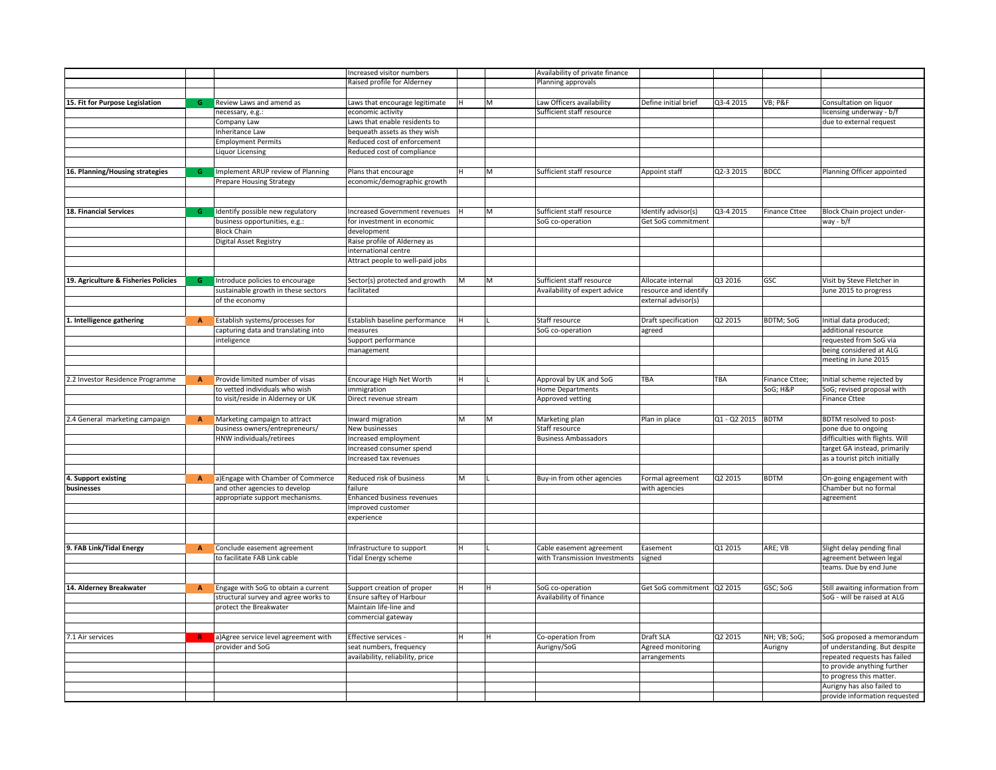|                                      |              |                                                                   | Increased visitor numbers            |    |    | Availability of private finance |                              |                   |                            |                                                    |
|--------------------------------------|--------------|-------------------------------------------------------------------|--------------------------------------|----|----|---------------------------------|------------------------------|-------------------|----------------------------|----------------------------------------------------|
|                                      |              |                                                                   | Raised profile for Alderney          |    |    | Planning approvals              |                              |                   |                            |                                                    |
|                                      |              |                                                                   |                                      |    |    |                                 |                              |                   |                            |                                                    |
| 15. Fit for Purpose Legislation      | G            | Review Laws and amend as                                          | Laws that encourage legitimate       | ΙH | M  | Law Officers availability       | Define initial brief         | Q3-4 2015         | VB; P&F                    | Consultation on liquor                             |
|                                      |              | necessary, e.g.:                                                  | economic activity                    |    |    | Sufficient staff resource       |                              |                   |                            | licensing underway - b/f                           |
|                                      |              | Company Law                                                       | Laws that enable residents to        |    |    |                                 |                              |                   |                            | due to external request                            |
|                                      |              | Inheritance Law                                                   | bequeath assets as they wish         |    |    |                                 |                              |                   |                            |                                                    |
|                                      |              | <b>Employment Permits</b>                                         | Reduced cost of enforcement          |    |    |                                 |                              |                   |                            |                                                    |
|                                      |              | <b>Liquor Licensing</b>                                           | Reduced cost of compliance           |    |    |                                 |                              |                   |                            |                                                    |
|                                      |              |                                                                   |                                      |    |    |                                 |                              |                   |                            |                                                    |
| 16. Planning/Housing strategies      | G            | Implement ARUP review of Planning                                 | Plans that encourage                 | H  | M  | Sufficient staff resource       | Appoint staff                | Q2-3 2015         | <b>BDCC</b>                | Planning Officer appointed                         |
|                                      |              | Prepare Housing Strategy                                          | economic/demographic growth          |    |    |                                 |                              |                   |                            |                                                    |
|                                      |              |                                                                   |                                      |    |    |                                 |                              |                   |                            |                                                    |
|                                      |              |                                                                   |                                      |    |    |                                 |                              |                   |                            |                                                    |
| 18. Financial Services               | G            | Identify possible new regulatory                                  | Increased Government revenues        |    | M  | Sufficient staff resource       | Identify advisor(s)          | Q3-4 2015         | <b>Finance Cttee</b>       | Block Chain project under-                         |
|                                      |              | business opportunities, e.g.:                                     | for investment in economic           |    |    | SoG co-operation                | Get SoG commitment           |                   |                            | way - b/f                                          |
|                                      |              | <b>Block Chain</b>                                                | development                          |    |    |                                 |                              |                   |                            |                                                    |
|                                      |              | Digital Asset Registry                                            | Raise profile of Alderney as         |    |    |                                 |                              |                   |                            |                                                    |
|                                      |              |                                                                   | international centre                 |    |    |                                 |                              |                   |                            |                                                    |
|                                      |              |                                                                   | Attract people to well-paid jobs     |    |    |                                 |                              |                   |                            |                                                    |
|                                      |              |                                                                   |                                      |    |    |                                 |                              |                   |                            |                                                    |
| 19. Agriculture & Fisheries Policies | G            | Introduce policies to encourage                                   | Sector(s) protected and growth       | M  | M  | Sufficient staff resource       | Allocate internal            | Q3 2016           | GSC                        | Visit by Steve Fletcher in                         |
|                                      |              | sustainable growth in these sectors                               | facilitated                          |    |    | Availability of expert advice   | resource and identify        |                   |                            | June 2015 to progress                              |
|                                      |              | of the economy                                                    |                                      |    |    |                                 | external advisor(s)          |                   |                            |                                                    |
|                                      |              |                                                                   |                                      |    |    |                                 |                              |                   |                            |                                                    |
| Intelligence gathering               | A            | Establish systems/processes for                                   | Establish baseline performance       | Ιн |    | Staff resource                  | Draft specification          | Q2 2015           | <b>BDTM; SoG</b>           | Initial data produced;                             |
|                                      |              | capturing data and translating into                               | measures                             |    |    | SoG co-operation                | agreed                       |                   |                            | additional resource                                |
|                                      |              | inteligence                                                       | Support performance                  |    |    |                                 |                              |                   |                            | requested from SoG via                             |
|                                      |              |                                                                   | management                           |    |    |                                 |                              |                   |                            | being considered at ALG                            |
|                                      |              |                                                                   |                                      |    |    |                                 |                              |                   |                            | meeting in June 2015                               |
|                                      |              |                                                                   |                                      | H  |    |                                 | <b>TBA</b>                   | <b>TBA</b>        |                            |                                                    |
| .2 Investor Residence Programme      | A            | Provide limited number of visas<br>to vetted individuals who wish | Encourage High Net Worth             |    |    | Approval by UK and SoG          |                              |                   | Finance Cttee;<br>SoG; H&P | Initial scheme rejected by                         |
|                                      |              | to visit/reside in Alderney or UK                                 | immigration<br>Direct revenue stream |    |    | Home Departments                |                              |                   |                            | SoG; revised proposal with<br><b>Finance Cttee</b> |
|                                      |              |                                                                   |                                      |    |    | Approved vetting                |                              |                   |                            |                                                    |
| .4 General marketing campaign        | $\mathbf{A}$ | Marketing campaign to attract                                     | Inward migration                     | M  | M  | Marketing plan                  | Plan in place                | Q1 - Q2 2015 BDTM |                            | BDTM resolved to post-                             |
|                                      |              | business owners/entrepreneurs/                                    | New businesses                       |    |    | Staff resource                  |                              |                   |                            | pone due to ongoing                                |
|                                      |              | HNW individuals/retirees                                          | Increased employment                 |    |    | <b>Business Ambassadors</b>     |                              |                   |                            | difficulties with flights. Will                    |
|                                      |              |                                                                   | Increased consumer spend             |    |    |                                 |                              |                   |                            | target GA instead, primarily                       |
|                                      |              |                                                                   | Increased tax revenues               |    |    |                                 |                              |                   |                            | as a tourist pitch initially                       |
|                                      |              |                                                                   |                                      |    |    |                                 |                              |                   |                            |                                                    |
| 4. Support existing                  | $\mathbf{A}$ | a) Engage with Chamber of Commerce                                | Reduced risk of business             | M  |    | Buy-in from other agencies      | Formal agreement             | Q2 2015           | <b>BDTM</b>                | On-going engagement with                           |
| businesses                           |              | and other agencies to develop                                     | failure                              |    |    |                                 | with agencies                |                   |                            | Chamber but no formal                              |
|                                      |              | appropriate support mechanisms.                                   | Enhanced business revenues           |    |    |                                 |                              |                   |                            | agreement                                          |
|                                      |              |                                                                   | Improved customer                    |    |    |                                 |                              |                   |                            |                                                    |
|                                      |              |                                                                   | experience                           |    |    |                                 |                              |                   |                            |                                                    |
|                                      |              |                                                                   |                                      |    |    |                                 |                              |                   |                            |                                                    |
|                                      |              |                                                                   |                                      |    |    |                                 |                              |                   |                            |                                                    |
| 9. FAB Link/Tidal Energy             | $\mathbf{A}$ | Conclude easement agreement                                       | Infrastructure to support            | H  |    | Cable easement agreement        | Easement                     | Q1 2015           | ARE; VB                    | Slight delay pending final                         |
|                                      |              | to facilitate FAB Link cable                                      | <b>Tidal Energy scheme</b>           |    |    | with Transmission Investments   | signed                       |                   |                            | agreement between legal                            |
|                                      |              |                                                                   |                                      |    |    |                                 |                              |                   |                            | teams. Due by end June                             |
|                                      |              |                                                                   |                                      |    |    |                                 |                              |                   |                            |                                                    |
| 14. Alderney Breakwater              | A            | Engage with SoG to obtain a current                               | Support creation of proper           | H  | H. | SoG co-operation                | Get SoG commitment   Q2 2015 |                   | GSC; SoG                   | Still awaiting information from                    |
|                                      |              | structural survey and agree works to                              | Ensure saftey of Harbour             |    |    | Availability of finance         |                              |                   |                            | SoG - will be raised at ALG                        |
|                                      |              | protect the Breakwater                                            | Maintain life-line and               |    |    |                                 |                              |                   |                            |                                                    |
|                                      |              |                                                                   | commercial gateway                   |    |    |                                 |                              |                   |                            |                                                    |
|                                      |              |                                                                   |                                      |    |    |                                 |                              |                   |                            |                                                    |
| 7.1 Air services                     |              | a) Agree service level agreement with                             | Effective services -                 | н  | lн | Co-operation from               | Draft SLA                    | Q2 2015           | NH; VB; SoG;               | SoG proposed a memorandum                          |
|                                      |              | provider and SoG                                                  | seat numbers, frequency              |    |    | Aurigny/SoG                     | Agreed monitoring            |                   | Aurigny                    | of understanding. But despite                      |
|                                      |              |                                                                   | availability, reliability, price     |    |    |                                 | arrangements                 |                   |                            | repeated requests has failed                       |
|                                      |              |                                                                   |                                      |    |    |                                 |                              |                   |                            | to provide anything further                        |
|                                      |              |                                                                   |                                      |    |    |                                 |                              |                   |                            | to progress this matter.                           |
|                                      |              |                                                                   |                                      |    |    |                                 |                              |                   |                            | Aurigny has also failed to                         |
|                                      |              |                                                                   |                                      |    |    |                                 |                              |                   |                            | provide information requested                      |